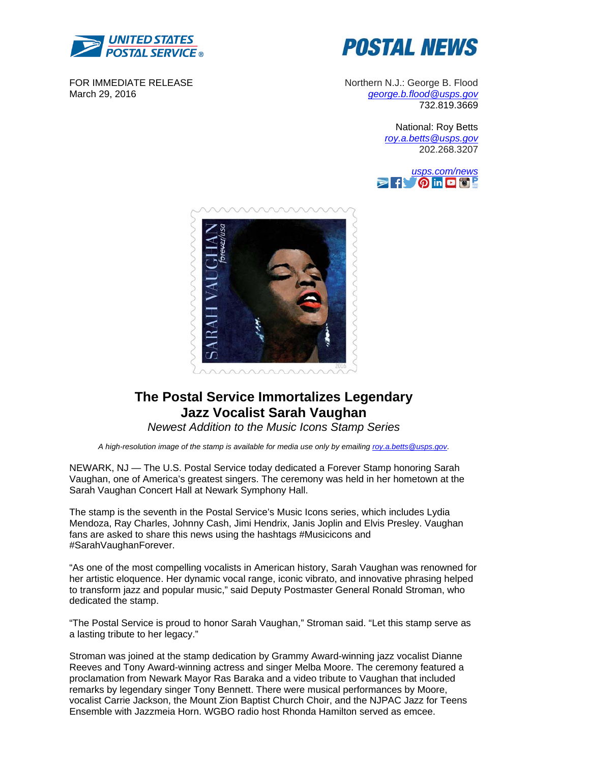

FOR IMMEDIATE RELEASE March 29, 2016



Northern N.J.: George B. Flood *george.b.flood@usps.gov* 732.819.3669

> National: Roy Betts *roy.a.betts@usps.gov* 202.268.3207





# **The Postal Service Immortalizes Legendary Jazz Vocalist Sarah Vaughan**

*Newest Addition to the Music Icons Stamp Series* 

*A high-resolution image of the stamp is available for media use only by emailing roy.a.betts@usps.gov*.

NEWARK, NJ — The U.S. Postal Service today dedicated a Forever Stamp honoring Sarah Vaughan, one of America's greatest singers. The ceremony was held in her hometown at the Sarah Vaughan Concert Hall at Newark Symphony Hall.

The stamp is the seventh in the Postal Service's Music Icons series, which includes Lydia Mendoza, Ray Charles, Johnny Cash, Jimi Hendrix, Janis Joplin and Elvis Presley. Vaughan fans are asked to share this news using the hashtags #Musicicons and #SarahVaughanForever.

"As one of the most compelling vocalists in American history, Sarah Vaughan was renowned for her artistic eloquence. Her dynamic vocal range, iconic vibrato, and innovative phrasing helped to transform jazz and popular music," said Deputy Postmaster General Ronald Stroman, who dedicated the stamp.

"The Postal Service is proud to honor Sarah Vaughan," Stroman said. "Let this stamp serve as a lasting tribute to her legacy."

Stroman was joined at the stamp dedication by Grammy Award-winning jazz vocalist Dianne Reeves and Tony Award-winning actress and singer Melba Moore. The ceremony featured a proclamation from Newark Mayor Ras Baraka and a video tribute to Vaughan that included remarks by legendary singer Tony Bennett. There were musical performances by Moore, vocalist Carrie Jackson, the Mount Zion Baptist Church Choir, and the NJPAC Jazz for Teens Ensemble with Jazzmeia Horn. WGBO radio host Rhonda Hamilton served as emcee.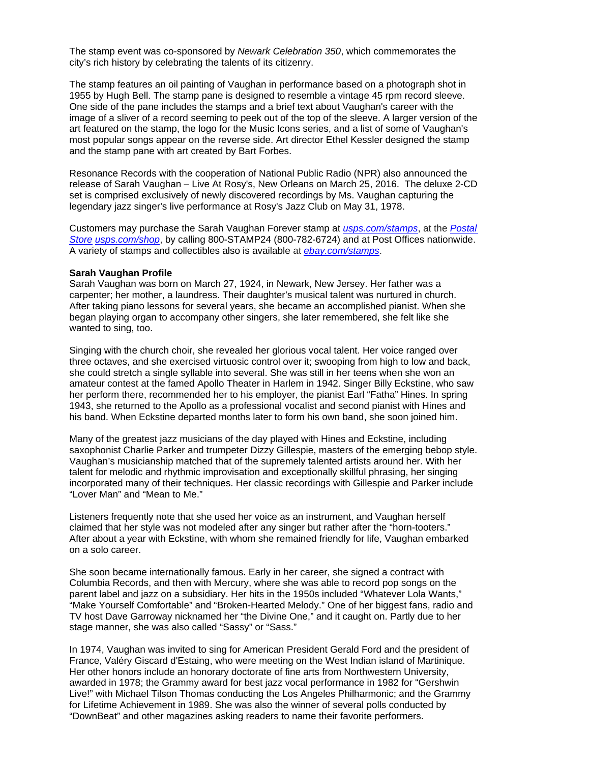The stamp event was co-sponsored by *Newark Celebration 350*, which commemorates the city's rich history by celebrating the talents of its citizenry.

The stamp features an oil painting of Vaughan in performance based on a photograph shot in 1955 by Hugh Bell. The stamp pane is designed to resemble a vintage 45 rpm record sleeve. One side of the pane includes the stamps and a brief text about Vaughan's career with the image of a sliver of a record seeming to peek out of the top of the sleeve. A larger version of the art featured on the stamp, the logo for the Music Icons series, and a list of some of Vaughan's most popular songs appear on the reverse side. Art director Ethel Kessler designed the stamp and the stamp pane with art created by Bart Forbes.

Resonance Records with the cooperation of National Public Radio (NPR) also announced the release of Sarah Vaughan – Live At Rosy's, New Orleans on March 25, 2016. The deluxe 2-CD set is comprised exclusively of newly discovered recordings by Ms. Vaughan capturing the legendary jazz singer's live performance at Rosy's Jazz Club on May 31, 1978.

Customers may purchase the Sarah Vaughan Forever stamp at *usps.com/stamps*, at the *Postal Store usps.com/shop*, by calling 800-STAMP24 (800-782-6724) and at Post Offices nationwide. A variety of stamps and collectibles also is available at *ebay.com/stamps*.

### **Sarah Vaughan Profile**

Sarah Vaughan was born on March 27, 1924, in Newark, New Jersey. Her father was a carpenter; her mother, a laundress. Their daughter's musical talent was nurtured in church. After taking piano lessons for several years, she became an accomplished pianist. When she began playing organ to accompany other singers, she later remembered, she felt like she wanted to sing, too.

Singing with the church choir, she revealed her glorious vocal talent. Her voice ranged over three octaves, and she exercised virtuosic control over it; swooping from high to low and back, she could stretch a single syllable into several. She was still in her teens when she won an amateur contest at the famed Apollo Theater in Harlem in 1942. Singer Billy Eckstine, who saw her perform there, recommended her to his employer, the pianist Earl "Fatha" Hines. In spring 1943, she returned to the Apollo as a professional vocalist and second pianist with Hines and his band. When Eckstine departed months later to form his own band, she soon joined him.

Many of the greatest jazz musicians of the day played with Hines and Eckstine, including saxophonist Charlie Parker and trumpeter Dizzy Gillespie, masters of the emerging bebop style. Vaughan's musicianship matched that of the supremely talented artists around her. With her talent for melodic and rhythmic improvisation and exceptionally skillful phrasing, her singing incorporated many of their techniques. Her classic recordings with Gillespie and Parker include "Lover Man" and "Mean to Me."

Listeners frequently note that she used her voice as an instrument, and Vaughan herself claimed that her style was not modeled after any singer but rather after the "horn-tooters." After about a year with Eckstine, with whom she remained friendly for life, Vaughan embarked on a solo career.

She soon became internationally famous. Early in her career, she signed a contract with Columbia Records, and then with Mercury, where she was able to record pop songs on the parent label and jazz on a subsidiary. Her hits in the 1950s included "Whatever Lola Wants," "Make Yourself Comfortable" and "Broken-Hearted Melody." One of her biggest fans, radio and TV host Dave Garroway nicknamed her "the Divine One," and it caught on. Partly due to her stage manner, she was also called "Sassy" or "Sass."

In 1974, Vaughan was invited to sing for American President Gerald Ford and the president of France, Valéry Giscard d'Estaing, who were meeting on the West Indian island of Martinique. Her other honors include an honorary doctorate of fine arts from Northwestern University, awarded in 1978; the Grammy award for best jazz vocal performance in 1982 for "Gershwin Live!" with Michael Tilson Thomas conducting the Los Angeles Philharmonic; and the Grammy for Lifetime Achievement in 1989. She was also the winner of several polls conducted by "DownBeat" and other magazines asking readers to name their favorite performers.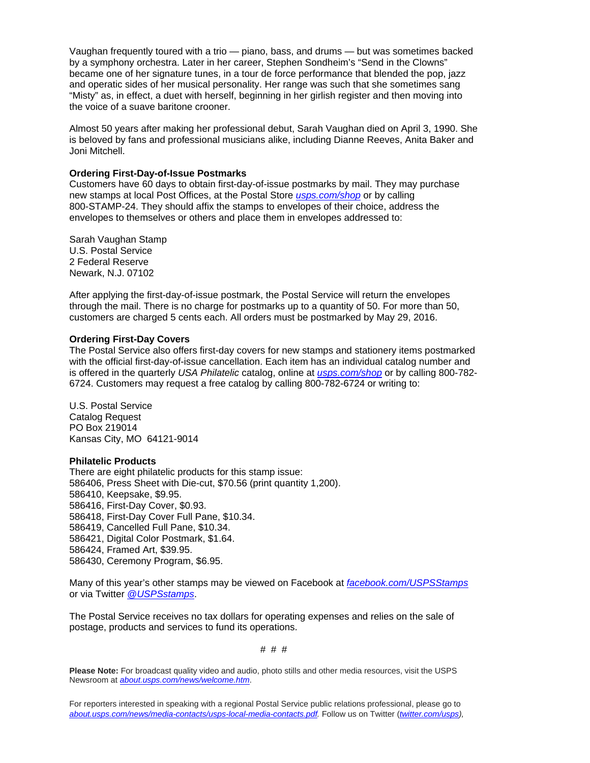Vaughan frequently toured with a trio — piano, bass, and drums — but was sometimes backed by a symphony orchestra. Later in her career, Stephen Sondheim's "Send in the Clowns" became one of her signature tunes, in a tour de force performance that blended the pop, jazz and operatic sides of her musical personality. Her range was such that she sometimes sang "Misty" as, in effect, a duet with herself, beginning in her girlish register and then moving into the voice of a suave baritone crooner.

Almost 50 years after making her professional debut, Sarah Vaughan died on April 3, 1990. She is beloved by fans and professional musicians alike, including Dianne Reeves, Anita Baker and Joni Mitchell.

### **Ordering First-Day-of-Issue Postmarks**

Customers have 60 days to obtain first-day-of-issue postmarks by mail. They may purchase new stamps at local Post Offices, at the Postal Store *usps.com/shop* or by calling 800-STAMP-24. They should affix the stamps to envelopes of their choice, address the envelopes to themselves or others and place them in envelopes addressed to:

Sarah Vaughan Stamp U.S. Postal Service 2 Federal Reserve Newark, N.J. 07102

After applying the first-day-of-issue postmark, the Postal Service will return the envelopes through the mail. There is no charge for postmarks up to a quantity of 50. For more than 50, customers are charged 5 cents each. All orders must be postmarked by May 29, 2016.

## **Ordering First-Day Covers**

The Postal Service also offers first-day covers for new stamps and stationery items postmarked with the official first-day-of-issue cancellation. Each item has an individual catalog number and is offered in the quarterly *USA Philatelic* catalog, online at *usps.com/shop* or by calling 800-782- 6724. Customers may request a free catalog by calling 800-782-6724 or writing to:

U.S. Postal Service Catalog Request PO Box 219014 Kansas City, MO 64121-9014

## **Philatelic Products**

There are eight philatelic products for this stamp issue: 586406, Press Sheet with Die-cut, \$70.56 (print quantity 1,200). 586410, Keepsake, \$9.95. 586416, First-Day Cover, \$0.93. 586418, First-Day Cover Full Pane, \$10.34. 586419, Cancelled Full Pane, \$10.34. 586421, Digital Color Postmark, \$1.64. 586424, Framed Art, \$39.95. 586430, Ceremony Program, \$6.95.

Many of this year's other stamps may be viewed on Facebook at *facebook.com/USPSStamps* or via Twitter *@USPSstamps*.

The Postal Service receives no tax dollars for operating expenses and relies on the sale of postage, products and services to fund its operations.

# # #

**Please Note:** For broadcast quality video and audio, photo stills and other media resources, visit the USPS Newsroom at *about.usps.com/news/welcome.htm*.

For reporters interested in speaking with a regional Postal Service public relations professional, please go to *about.usps.com/news/media-contacts/usps-local-media-contacts.pdf.* Follow us on Twitter (*twitter.com/usps),*